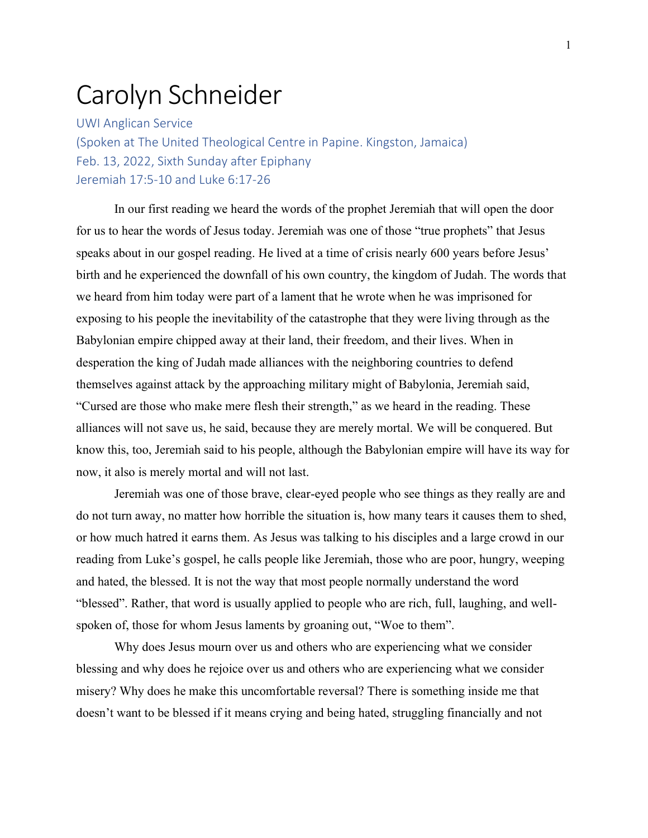## Carolyn Schneider

UWI Anglican Service (Spoken at The United Theological Centre in Papine. Kingston, Jamaica) Feb. 13, 2022, Sixth Sunday after Epiphany Jeremiah 17:5-10 and Luke 6:17-26

In our first reading we heard the words of the prophet Jeremiah that will open the door for us to hear the words of Jesus today. Jeremiah was one of those "true prophets" that Jesus speaks about in our gospel reading. He lived at a time of crisis nearly 600 years before Jesus' birth and he experienced the downfall of his own country, the kingdom of Judah. The words that we heard from him today were part of a lament that he wrote when he was imprisoned for exposing to his people the inevitability of the catastrophe that they were living through as the Babylonian empire chipped away at their land, their freedom, and their lives. When in desperation the king of Judah made alliances with the neighboring countries to defend themselves against attack by the approaching military might of Babylonia, Jeremiah said, "Cursed are those who make mere flesh their strength," as we heard in the reading. These alliances will not save us, he said, because they are merely mortal. We will be conquered. But know this, too, Jeremiah said to his people, although the Babylonian empire will have its way for now, it also is merely mortal and will not last.

Jeremiah was one of those brave, clear-eyed people who see things as they really are and do not turn away, no matter how horrible the situation is, how many tears it causes them to shed, or how much hatred it earns them. As Jesus was talking to his disciples and a large crowd in our reading from Luke's gospel, he calls people like Jeremiah, those who are poor, hungry, weeping and hated, the blessed. It is not the way that most people normally understand the word "blessed". Rather, that word is usually applied to people who are rich, full, laughing, and wellspoken of, those for whom Jesus laments by groaning out, "Woe to them".

Why does Jesus mourn over us and others who are experiencing what we consider blessing and why does he rejoice over us and others who are experiencing what we consider misery? Why does he make this uncomfortable reversal? There is something inside me that doesn't want to be blessed if it means crying and being hated, struggling financially and not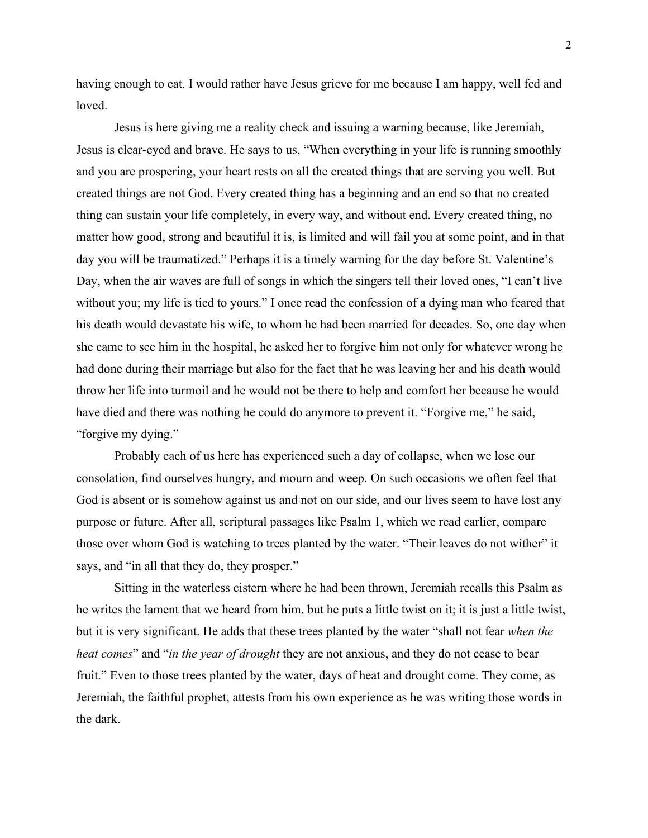having enough to eat. I would rather have Jesus grieve for me because I am happy, well fed and loved.

Jesus is here giving me a reality check and issuing a warning because, like Jeremiah, Jesus is clear-eyed and brave. He says to us, "When everything in your life is running smoothly and you are prospering, your heart rests on all the created things that are serving you well. But created things are not God. Every created thing has a beginning and an end so that no created thing can sustain your life completely, in every way, and without end. Every created thing, no matter how good, strong and beautiful it is, is limited and will fail you at some point, and in that day you will be traumatized." Perhaps it is a timely warning for the day before St. Valentine's Day, when the air waves are full of songs in which the singers tell their loved ones, "I can't live without you; my life is tied to yours." I once read the confession of a dying man who feared that his death would devastate his wife, to whom he had been married for decades. So, one day when she came to see him in the hospital, he asked her to forgive him not only for whatever wrong he had done during their marriage but also for the fact that he was leaving her and his death would throw her life into turmoil and he would not be there to help and comfort her because he would have died and there was nothing he could do anymore to prevent it. "Forgive me," he said, "forgive my dying."

Probably each of us here has experienced such a day of collapse, when we lose our consolation, find ourselves hungry, and mourn and weep. On such occasions we often feel that God is absent or is somehow against us and not on our side, and our lives seem to have lost any purpose or future. After all, scriptural passages like Psalm 1, which we read earlier, compare those over whom God is watching to trees planted by the water. "Their leaves do not wither" it says, and "in all that they do, they prosper."

Sitting in the waterless cistern where he had been thrown, Jeremiah recalls this Psalm as he writes the lament that we heard from him, but he puts a little twist on it; it is just a little twist, but it is very significant. He adds that these trees planted by the water "shall not fear *when the heat comes*" and "*in the year of drought* they are not anxious, and they do not cease to bear fruit." Even to those trees planted by the water, days of heat and drought come. They come, as Jeremiah, the faithful prophet, attests from his own experience as he was writing those words in the dark.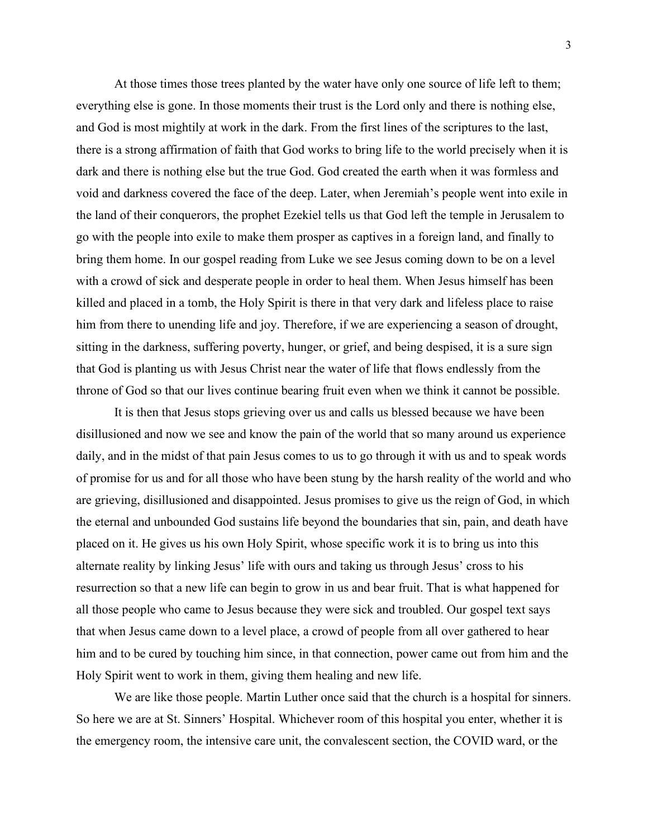At those times those trees planted by the water have only one source of life left to them; everything else is gone. In those moments their trust is the Lord only and there is nothing else, and God is most mightily at work in the dark. From the first lines of the scriptures to the last, there is a strong affirmation of faith that God works to bring life to the world precisely when it is dark and there is nothing else but the true God. God created the earth when it was formless and void and darkness covered the face of the deep. Later, when Jeremiah's people went into exile in the land of their conquerors, the prophet Ezekiel tells us that God left the temple in Jerusalem to go with the people into exile to make them prosper as captives in a foreign land, and finally to bring them home. In our gospel reading from Luke we see Jesus coming down to be on a level with a crowd of sick and desperate people in order to heal them. When Jesus himself has been killed and placed in a tomb, the Holy Spirit is there in that very dark and lifeless place to raise him from there to unending life and joy. Therefore, if we are experiencing a season of drought, sitting in the darkness, suffering poverty, hunger, or grief, and being despised, it is a sure sign that God is planting us with Jesus Christ near the water of life that flows endlessly from the throne of God so that our lives continue bearing fruit even when we think it cannot be possible.

It is then that Jesus stops grieving over us and calls us blessed because we have been disillusioned and now we see and know the pain of the world that so many around us experience daily, and in the midst of that pain Jesus comes to us to go through it with us and to speak words of promise for us and for all those who have been stung by the harsh reality of the world and who are grieving, disillusioned and disappointed. Jesus promises to give us the reign of God, in which the eternal and unbounded God sustains life beyond the boundaries that sin, pain, and death have placed on it. He gives us his own Holy Spirit, whose specific work it is to bring us into this alternate reality by linking Jesus' life with ours and taking us through Jesus' cross to his resurrection so that a new life can begin to grow in us and bear fruit. That is what happened for all those people who came to Jesus because they were sick and troubled. Our gospel text says that when Jesus came down to a level place, a crowd of people from all over gathered to hear him and to be cured by touching him since, in that connection, power came out from him and the Holy Spirit went to work in them, giving them healing and new life.

We are like those people. Martin Luther once said that the church is a hospital for sinners. So here we are at St. Sinners' Hospital. Whichever room of this hospital you enter, whether it is the emergency room, the intensive care unit, the convalescent section, the COVID ward, or the